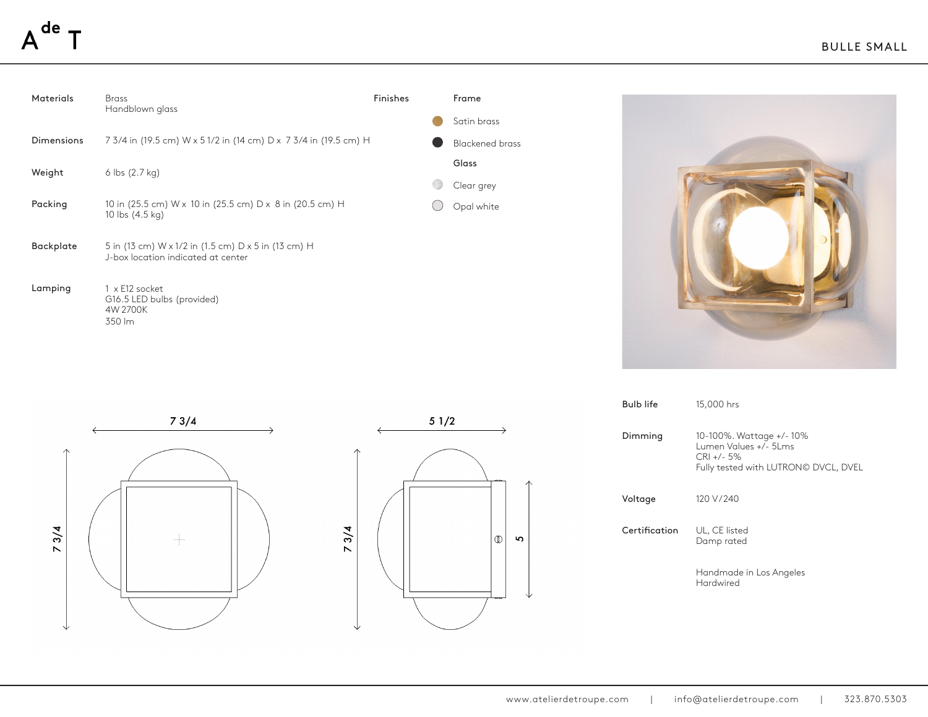| <b>Materials</b>  | <b>Brass</b><br>Handblown glass                                                           | Finishes | Frame                  |
|-------------------|-------------------------------------------------------------------------------------------|----------|------------------------|
|                   |                                                                                           |          | Satin brass            |
| <b>Dimensions</b> | 7 3/4 in (19.5 cm) W x 5 1/2 in (14 cm) D x 7 3/4 in (19.5 cm) H                          |          | <b>Blackened brass</b> |
| Weight            | $6$ lbs $(2.7 \text{ kg})$                                                                |          | Glass                  |
|                   |                                                                                           |          | Clear grey             |
| Packing           | 10 in (25.5 cm) W x 10 in (25.5 cm) D x 8 in (20.5 cm) H<br>10 lbs (4.5 kg)               |          | Opal white             |
| <b>Backplate</b>  | 5 in (13 cm) W x 1/2 in (1.5 cm) D x 5 in (13 cm) H<br>J-box location indicated at center |          |                        |
| Lamping           | 1 x E12 socket<br>G16.5 LED bulbs (provided)<br>4W 2700K<br>350 lm                        |          |                        |







Frame

| <b>Bulb life</b> | 15,000 hrs                                                                                               |
|------------------|----------------------------------------------------------------------------------------------------------|
| Dimming          | 10-100%. Wattage +/-10%<br>Lumen Values +/- 5Lms<br>$CRI +/- 5%$<br>Fully tested with LUTRON© DVCL, DVEL |
| Voltage          | 120 V/240                                                                                                |
| Certification    | UL, CE listed<br>Damp rated                                                                              |
|                  | Handmade in Los Angeles<br>Hardwired                                                                     |
|                  |                                                                                                          |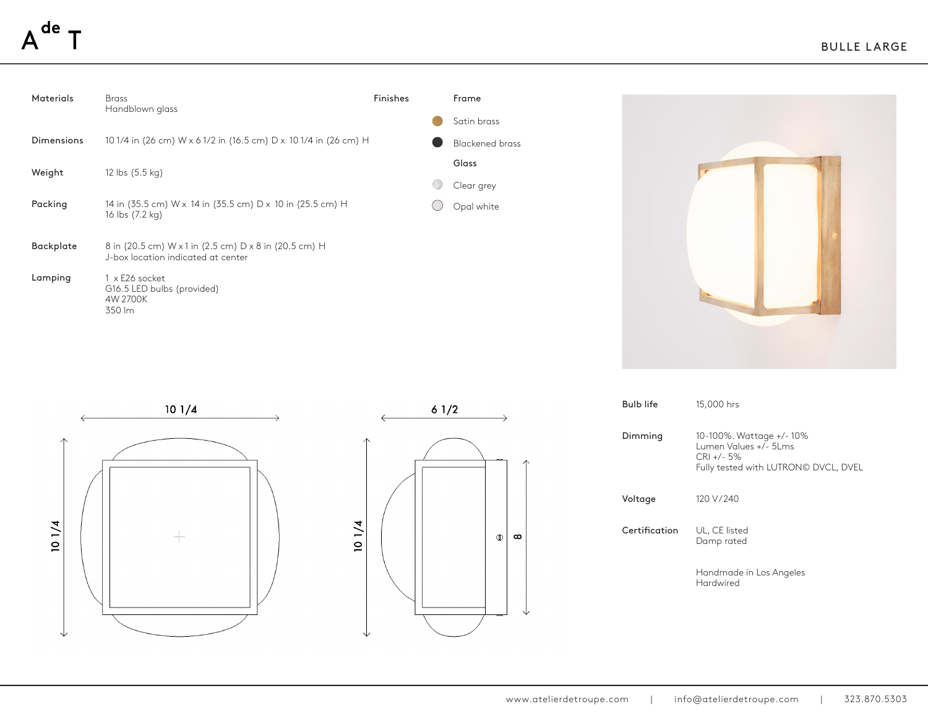| <b>Materials</b>  | <b>Brass</b><br>Handblown glass                                                             | Finishes | Frame                  |
|-------------------|---------------------------------------------------------------------------------------------|----------|------------------------|
|                   |                                                                                             |          | Satin brass            |
| <b>Dimensions</b> | 10 1/4 in (26 cm) W x 6 1/2 in (16.5 cm) D x 10 1/4 in (26 cm) H                            |          | <b>Blackened brass</b> |
| Weight            | 12 lbs (5.5 kg)                                                                             |          | Glass                  |
|                   |                                                                                             |          | Clear grey             |
| Packing           | 14 in (35.5 cm) W x 14 in (35.5 cm) D x 10 in (25.5 cm) H<br>16 lbs (7.2 kg)                |          | Opal white             |
| Backplate         | 8 in (20.5 cm) W x 1 in (2.5 cm) D x 8 in (20.5 cm) H<br>J-box location indicated at center |          |                        |
| Lamping           | 1 x E26 socket<br>G16.5 LED bulbs (provided)<br>4W 2700K<br>350 lm                          |          |                        |







Frame

| <b>Bulb life</b> | 15,000 hrs                                                                                               |
|------------------|----------------------------------------------------------------------------------------------------------|
| Dimming          | 10-100%. Wattage +/-10%<br>Lumen Values +/- 5Lms<br>$CRI +/- 5%$<br>Fully tested with LUTRON© DVCL, DVEL |
| Voltage          | 120 V/240                                                                                                |
| Certification    | UL, CE listed<br>Damp rated                                                                              |
|                  | Handmade in Los Angeles<br>Hardwired                                                                     |
|                  |                                                                                                          |